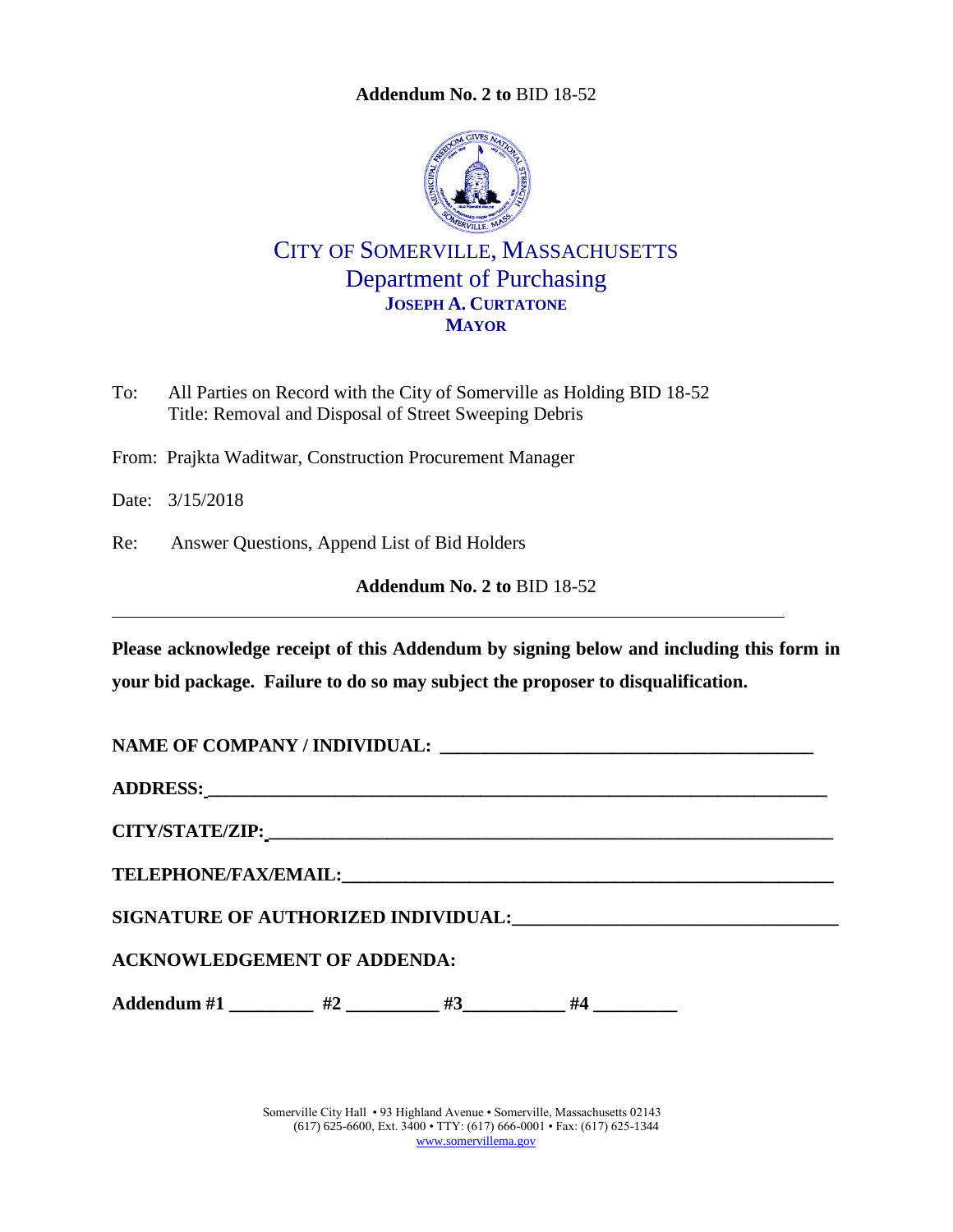**Addendum No. 2 to** [BID 18-52](#page-0-0)

<span id="page-0-0"></span>

CITY OF SOMERVILLE, MASSACHUSETTS Department of Purchasing **JOSEPH A. CURTATONE MAYOR**

- To: All Parties on Record with the City of Somerville as Holding BID 18-52 Title: Removal and Disposal of Street Sweeping Debris
- From: Prajkta Waditwar, Construction Procurement Manager

Date: 3/15/2018

Re: Answer Questions, Append List of Bid Holders

**Addendum No. 2 to** [BID 18-52](#page-0-0)

**Please acknowledge receipt of this Addendum by signing below and including this form in your bid package. Failure to do so may subject the proposer to disqualification.**

NAME OF COMPANY / INDIVIDUAL:

**ADDRESS: \_\_\_\_\_\_\_\_\_\_\_\_\_\_\_\_\_\_\_\_\_\_\_\_\_\_\_\_\_\_\_\_\_\_\_\_\_\_\_\_\_\_\_\_\_\_\_\_\_\_\_\_\_\_\_\_\_\_\_\_\_\_\_\_\_\_\_\_**

**CITY/STATE/ZIP: \_\_\_\_\_\_\_\_\_\_\_\_\_\_\_\_\_\_\_\_\_\_\_\_\_\_\_\_\_\_\_\_\_\_\_\_\_\_\_\_\_\_\_\_\_\_\_\_\_\_\_\_\_\_\_\_\_\_\_\_\_\_**

 $\bf{TELEPHONE/FAX/EMAIL:}$ 

**SIGNATURE OF AUTHORIZED INDIVIDUAL:\_\_\_\_\_\_\_\_\_\_\_\_\_\_\_\_\_\_\_\_\_\_\_\_\_\_\_\_\_\_\_\_\_\_\_**

**ACKNOWLEDGEMENT OF ADDENDA:**

Addendum #1 \_\_\_\_\_\_\_\_\_ #2 \_\_\_\_\_\_\_\_\_ #3 \_\_\_\_\_\_\_\_ #4 \_

Somerville City Hall • 93 Highland Avenue • Somerville, Massachusetts 02143 (617) 625-6600, Ext. 3400 • TTY: (617) 666-0001 • Fax: (617) 625-1344 [www.somervillema.gov](http://www.somervillema.gov/)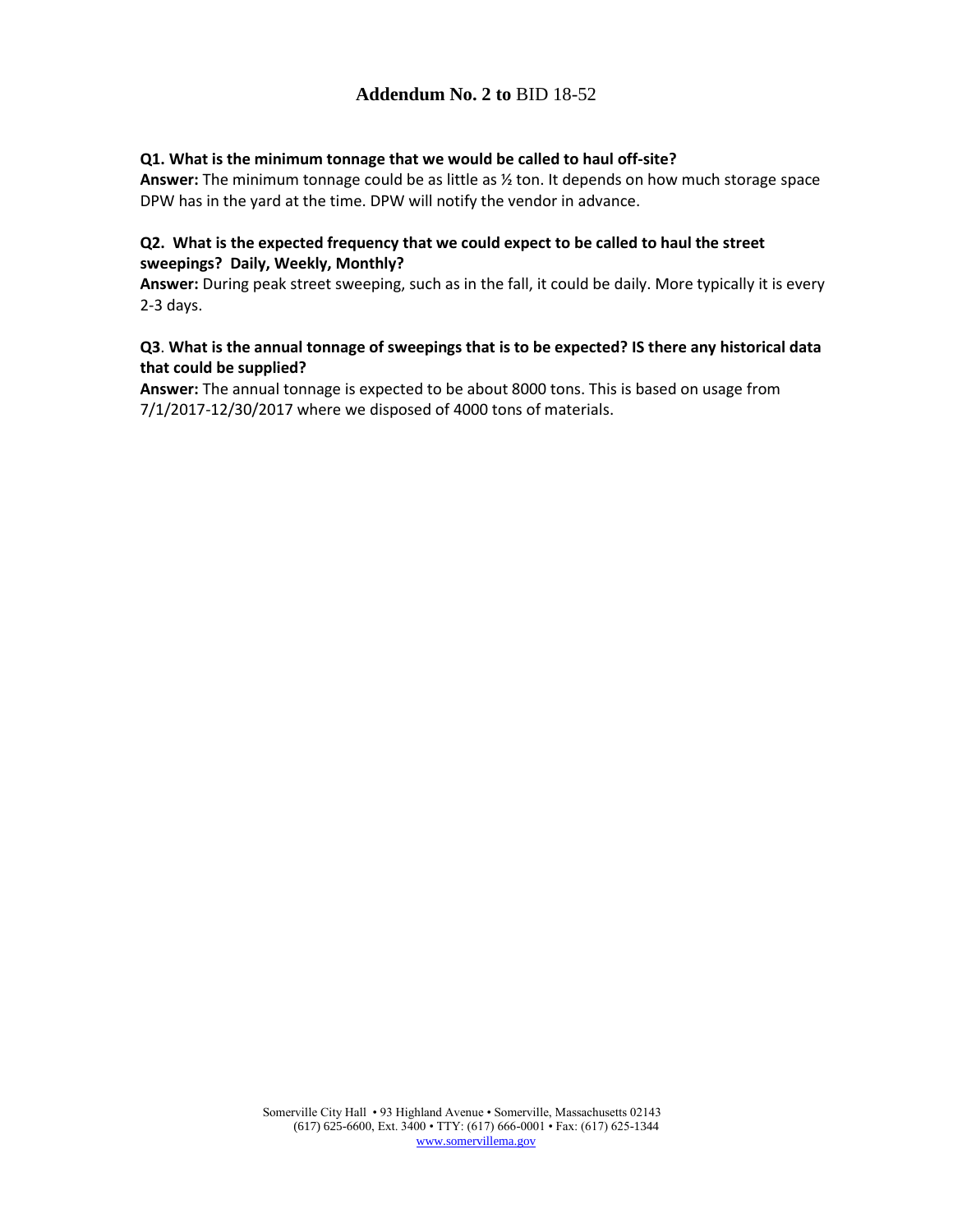## **Addendum No. 2 to** [BID 18-52](#page-0-0)

## **Q1. What is the minimum tonnage that we would be called to haul off-site?**

**Answer:** The minimum tonnage could be as little as ½ ton. It depends on how much storage space DPW has in the yard at the time. DPW will notify the vendor in advance.

## **Q2. What is the expected frequency that we could expect to be called to haul the street sweepings? Daily, Weekly, Monthly?**

**Answer:** During peak street sweeping, such as in the fall, it could be daily. More typically it is every 2-3 days.

## **Q3**. **What is the annual tonnage of sweepings that is to be expected? IS there any historical data that could be supplied?**

**Answer:** The annual tonnage is expected to be about 8000 tons. This is based on usage from 7/1/2017-12/30/2017 where we disposed of 4000 tons of materials.